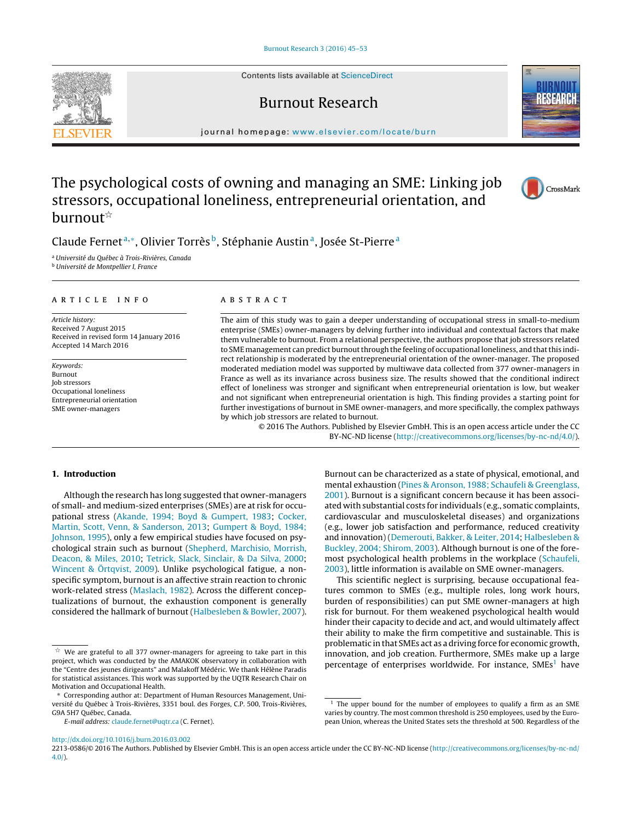Contents lists available at [ScienceDirect](http://www.sciencedirect.com/science/journal/aip/22130586)

## Burnout Research

journal homepage: [www.elsevier.com/locate/burn](http://www.elsevier.com/locate/burn)

# The psychological costs of owning and managing an SME: Linking job stressors, occupational loneliness, entrepreneurial orientation, and burnout<sup>\*</sup>

## Claude Fernet<sup>a,</sup>\*, Olivier Torrès<sup>b</sup>, Stéphanie Austin<sup>a</sup>, Josée St-Pierre<sup>a</sup>

<sup>a</sup> Université du Québec à Trois-Rivières, Canada

<sup>b</sup> Université de Montpellier I, France

## article info

Article history: Received 7 August 2015 Received in revised form 14 January 2016 Accepted 14 March 2016

Keywords: Burnout Job stressors Occupational loneliness Entrepreneurial orientation SME owner-managers

## ABSTRACT

The aim of this study was to gain a deeper understanding of occupational stress in small-to-medium enterprise (SMEs) owner-managers by delving further into individual and contextual factors that make them vulnerable to burnout. From a relational perspective, the authors propose that job stressors related to SMEmanagement can predict burnout through the feeling of occupational loneliness, and that this indirect relationship is moderated by the entrepreneurial orientation of the owner-manager. The proposed moderated mediation model was supported by multiwave data collected from 377 owner-managers in France as well as its invariance across business size. The results showed that the conditional indirect effect of loneliness was stronger and significant when entrepreneurial orientation is low, but weaker and not significant when entrepreneurial orientation is high. This finding provides a starting point for further investigations of burnout in SME owner-managers, and more specifically, the complex pathways by which job stressors are related to burnout.

© 2016 The Authors. Published by Elsevier GmbH. This is an open access article under the CC BY-NC-ND license [\(http://creativecommons.org/licenses/by-nc-nd/4.0/](http://creativecommons.org/licenses/by-nc-nd/4.0/)).

## **1. Introduction**

Although the research has long suggested that owner-managers of small- and medium-sized enterprises (SMEs) are at risk for occupational stress ([Akande, 1994; Boyd & Gumpert, 1983;](#page-7-0) [Cocker,](#page-7-0) [Martin, Scott, Venn, & Sanderson, 2013;](#page-7-0) [Gumpert & Boyd, 1984;](#page-7-0) [Johnson, 1995\),](#page-7-0) only a few empirical studies have focused on psychological strain such as burnout ([Shepherd, Marchisio, Morrish,](#page-8-0) [Deacon, & Miles, 2010;](#page-8-0) [Tetrick, Slack, Sinclair, & Da Silva, 2000;](#page-8-0) [Wincent & Örtqvist, 2009\).](#page-8-0) Unlike psychological fatigue, a nonspecific symptom, burnout is an affective strain reaction to chronic work-related stress ([Maslach, 1982\).](#page-7-0) Across the different conceptualizations of burnout, the exhaustion component is generally considered the hallmark of burnout ([Halbesleben & Bowler, 2007\).](#page-7-0)

mental exhaustion ([Pines & Aronson, 1988; Schaufeli & Greenglass,](#page-7-0) [2001\).](#page-7-0) Burnout is a significant concern because it has been associated with substantial costs for individuals (e.g., somatic complaints, cardiovascular and musculoskeletal diseases) and organizations (e.g., lower job satisfaction and performance, reduced creativity and innovation) ([Demerouti, Bakker, & Leiter, 2014;](#page-7-0) [Halbesleben &](#page-7-0) [Buckley, 2004; Shirom, 2003\).](#page-7-0) Although burnout is one of the foremost psychological health problems in the workplace [\(Schaufeli,](#page-8-0) [2003\),](#page-8-0) little information is available on SME owner-managers. This scientific neglect is surprising, because occupational fea-

Burnout can be characterized as a state of physical, emotional, and

tures common to SMEs (e.g., multiple roles, long work hours, burden of responsibilities) can put SME owner-managers at high risk for burnout. For them weakened psychological health would hinder their capacity to decide and act, and would ultimately affect their ability to make the firm competitive and sustainable. This is problematic in that SMEs act as a driving force for economic growth, innovation, and job creation. Furthermore, SMEs make up a large percentage of enterprises worldwide. For instance,  $SMEs<sup>1</sup>$  have

[http://dx.doi.org/10.1016/j.burn.2016.03.002](dx.doi.org/10.1016/j.burn.2016.03.002)







 $\overset{\star}{\pi}$  We are grateful to all 377 owner-managers for agreeing to take part in this project, which was conducted by the AMAKOK observatory in collaboration with the "Centre des jeunes dirigeants" and Malakoff Médéric. We thank Hélène Paradis for statistical assistances. This work was supported by the UQTR Research Chair on Motivation and Occupational Health.

Corresponding author at: Department of Human Resources Management, Université du Québec à Trois-Rivières, 3351 boul. des Forges, C.P. 500, Trois-Rivières, G9A 5H7 Québec, Canada.

E-mail address: [claude.fernet@uqtr.ca](mailto:claude.fernet@uqtr.ca) (C. Fernet).

The upper bound for the number of employees to qualify a firm as an SME varies by country. The most common threshold is 250 employees, used by the European Union, whereas the United States sets the threshold at 500. Regardless of the

<sup>2213-0586/© 2016</sup> The Authors. Published by Elsevier GmbH. This is an open access article under the CC BY-NC-ND license ([http://creativecommons.org/licenses/by-nc-nd/](http://creativecommons.org/licenses/by-nc-nd/4.0/) [4.0/](http://creativecommons.org/licenses/by-nc-nd/4.0/)).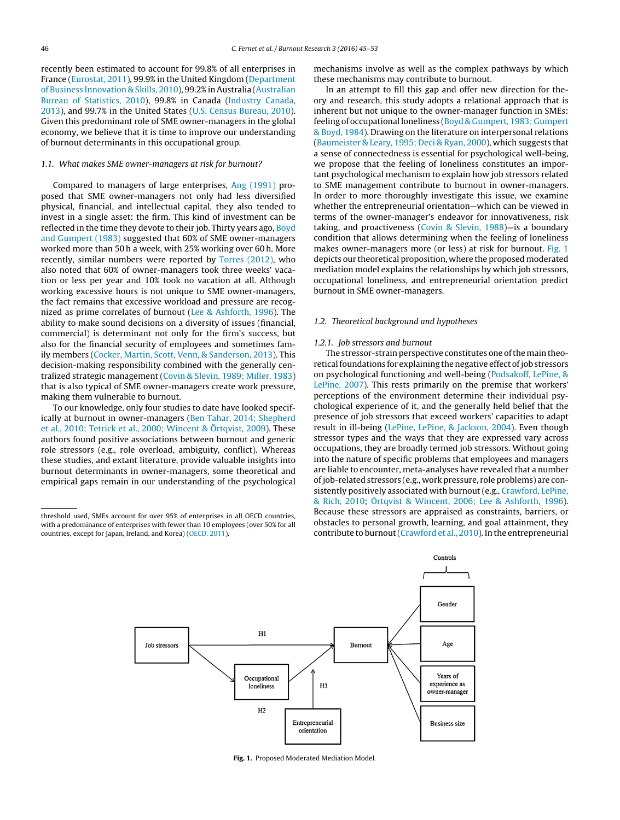recently been estimated to account for 99.8% of all enterprises in France ([Eurostat, 2011\),](#page-7-0) 99.9% in the United Kingdom [\(Department](#page-7-0) [of Business Innovation & Skills, 2010\),](#page-7-0) 99.2% in Australia [\(Australian](#page-7-0) [Bureau of Statistics, 2010\),](#page-7-0) 99.8% in Canada [\(Industry Canada,](#page-7-0) [2013\),](#page-7-0) and 99.7% in the United States ([U.S. Census Bureau, 2010\).](#page-8-0) Given this predominant role of SME owner-managers in the global economy, we believe that it is time to improve our understanding of burnout determinants in this occupational group.

#### 1.1. What makes SME owner-managers at risk for burnout?

Compared to managers of large enterprises, [Ang \(1991\)](#page-7-0) proposed that SME owner-managers not only had less diversified physical, financial, and intellectual capital, they also tended to invest in a single asset: the firm. This kind of investment can be reflected in the time they devote to their job. Thirty years ago, [Boyd](#page-7-0) [and Gumpert \(1983\)](#page-7-0) suggested that 60% of SME owner-managers worked more than 50 h a week, with 25% working over 60 h. More recently, similar numbers were reported by [Torres \(2012\),](#page-8-0) who also noted that 60% of owner-managers took three weeks' vacation or less per year and 10% took no vacation at all. Although working excessive hours is not unique to SME owner-managers, the fact remains that excessive workload and pressure are recognized as prime correlates of burnout [\(Lee & Ashforth, 1996\).](#page-7-0) The ability to make sound decisions on a diversity of issues (financial, commercial) is determinant not only for the firm's success, but also for the financial security of employees and sometimes family members [\(Cocker, Martin, Scott, Venn, & Sanderson, 2013\).](#page-7-0) This decision-making responsibility combined with the generally centralized strategic management ([Covin & Slevin, 1989; Miller, 1983\)](#page-7-0) that is also typical of SME owner-managers create work pressure, making them vulnerable to burnout.

To our knowledge, only four studies to date have looked specifically at burnout in owner-managers [\(Ben Tahar, 2014; Shepherd](#page-7-0) [et al., 2010; Tetrick et al., 2000; Wincent & Örtqvist, 2009\).](#page-7-0) These authors found positive associations between burnout and generic role stressors (e.g., role overload, ambiguity, conflict). Whereas these studies, and extant literature, provide valuable insights into burnout determinants in owner-managers, some theoretical and empirical gaps remain in our understanding of the psychological

mechanisms involve as well as the complex pathways by which these mechanisms may contribute to burnout.

In an attempt to fill this gap and offer new direction for theory and research, this study adopts a relational approach that is inherent but not unique to the owner-manager function in SMEs: feeling of occupational loneliness [\(Boyd & Gumpert, 1983; Gumpert](#page-7-0) [& Boyd, 1984\).](#page-7-0) Drawing on the literature on interpersonal relations [\(Baumeister & Leary, 1995; Deci & Ryan, 2000\),](#page-7-0) which suggests that a sense of connectedness is essential for psychological well-being, we propose that the feeling of loneliness constitutes an important psychological mechanism to explain how job stressors related to SME management contribute to burnout in owner-managers. In order to more thoroughly investigate this issue, we examine whether the entrepreneurial orientation—which can be viewed in terms of the owner-manager's endeavor for innovativeness, risk taking, and proactiveness [\(Covin & Slevin, 1988\)—](#page-7-0)is a boundary condition that allows determining when the feeling of loneliness makes owner-managers more (or less) at risk for burnout. Fig. 1 depicts our theoretical proposition, where the proposed moderated mediation model explains the relationships by which job stressors, occupational loneliness, and entrepreneurial orientation predict burnout in SME owner-managers.

#### 1.2. Theoretical background and hypotheses

## 1.2.1. Job stressors and burnout

The stressor-strain perspective constitutes one of themain theoretical foundations for explaining the negative effect of job stressors on psychological functioning and well-being ([Podsakoff, LePine, &](#page-7-0) [LePine, 2007\).](#page-7-0) This rests primarily on the premise that workers' perceptions of the environment determine their individual psychological experience of it, and the generally held belief that the presence of job stressors that exceed workers' capacities to adapt result in ill-being ([LePine, LePine, & Jackson, 2004\).](#page-7-0) Even though stressor types and the ways that they are expressed vary across occupations, they are broadly termed job stressors. Without going into the nature of specific problems that employees and managers are liable to encounter, meta-analyses have revealed that a number of job-related stressors (e.g., work pressure, role problems) are consistently positively associated with burnout (e.g., [Crawford, LePine,](#page-7-0) [& Rich, 2010;](#page-7-0) [Örtqvist & Wincent, 2006; Lee & Ashforth, 1996\).](#page-7-0) Because these stressors are appraised as constraints, barriers, or obstacles to personal growth, learning, and goal attainment, they contribute to burnout [\(Crawford et al., 2010\).](#page-7-0) In the entrepreneurial



**Fig. 1.** Proposed Moderated Mediation Model.

threshold used, SMEs account for over 95% of enterprises in all OECD countries, with a predominance of enterprises with fewer than 10 employees (over 50% for all countries, except for Japan, Ireland, and Korea) [\(OECD, 2011\).](#page-7-0)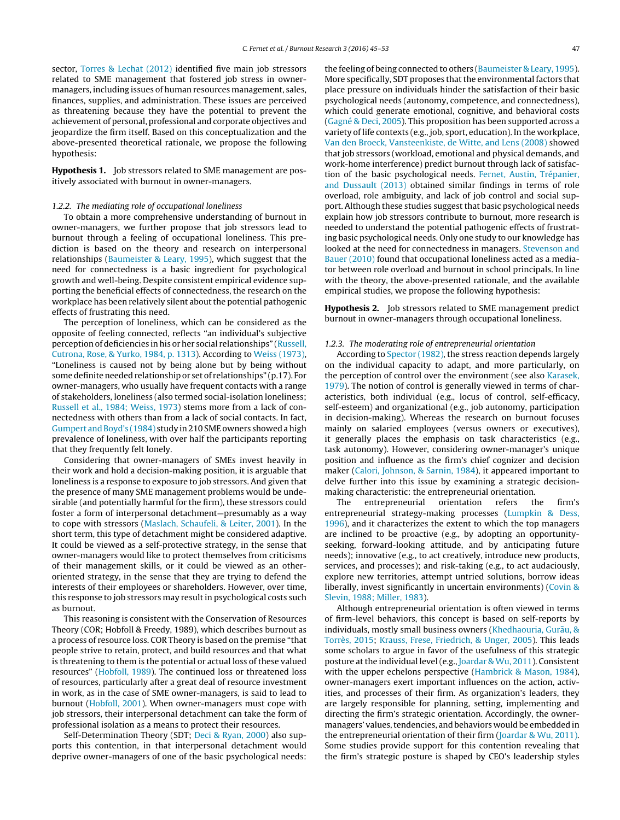sector, [Torres & Lechat \(2012\)](#page-8-0) identified five main job stressors related to SME management that fostered job stress in ownermanagers, including issues of human resources management, sales, finances, supplies, and administration. These issues are perceived as threatening because they have the potential to prevent the achievement of personal, professional and corporate objectives and jeopardize the firm itself. Based on this conceptualization and the above-presented theoretical rationale, we propose the following hypothesis:

**Hypothesis 1.** Job stressors related to SME management are positively associated with burnout in owner-managers.

#### 1.2.2. The mediating role of occupational loneliness

To obtain a more comprehensive understanding of burnout in owner-managers, we further propose that job stressors lead to burnout through a feeling of occupational loneliness. This prediction is based on the theory and research on interpersonal relationships [\(Baumeister & Leary, 1995\),](#page-7-0) which suggest that the need for connectedness is a basic ingredient for psychological growth and well-being. Despite consistent empirical evidence supporting the beneficial effects of connectedness, the research on the workplace has been relatively silent about the potential pathogenic effects of frustrating this need.

The perception of loneliness, which can be considered as the opposite of feeling connected, reflects "an individual's subjective perception of deficiencies in his or her social relationships" ([Russell,](#page-8-0) [Cutrona, Rose, & Yurko, 1984, p. 1313\).](#page-8-0) According to [Weiss \(1973\),](#page-8-0) "Loneliness is caused not by being alone but by being without some definite needed relationship or set of relationships" (p.17). For owner-managers, who usually have frequent contacts with a range of stakeholders, loneliness (also termed social-isolation loneliness; [Russell et al., 1984; Weiss, 1973\)](#page-8-0) stems more from a lack of connectedness with others than from a lack of social contacts. In fact, [Gumpert and Boyd's \(1984\)](#page-7-0) study in 210 SME owners showed a high prevalence of loneliness, with over half the participants reporting that they frequently felt lonely.

Considering that owner-managers of SMEs invest heavily in their work and hold a decision-making position, it is arguable that loneliness is a response to exposure to job stressors. And given that the presence of many SME management problems would be undesirable (and potentially harmful for the firm), these stressors could foster a form of interpersonal detachment—presumably as a way to cope with stressors [\(Maslach, Schaufeli, & Leiter, 2001\).](#page-7-0) In the short term, this type of detachment might be considered adaptive. It could be viewed as a self-protective strategy, in the sense that owner-managers would like to protect themselves from criticisms of their management skills, or it could be viewed as an otheroriented strategy, in the sense that they are trying to defend the interests of their employees or shareholders. However, over time, this response to job stressors may result in psychological costs such as burnout.

This reasoning is consistent with the Conservation of Resources Theory (COR; Hobfoll & Freedy, 1989), which describes burnout as a process of resource loss. COR Theory is based on the premise "that people strive to retain, protect, and build resources and that what is threatening to them is the potential or actual loss of these valued resources" ([Hobfoll, 1989\).](#page-7-0) The continued loss or threatened loss of resources, particularly after a great deal of resource investment in work, as in the case of SME owner-managers, is said to lead to burnout ([Hobfoll, 2001\).](#page-7-0) When owner-managers must cope with job stressors, their interpersonal detachment can take the form of professional isolation as a means to protect their resources.

Self-Determination Theory (SDT; [Deci & Ryan, 2000\)](#page-7-0) also supports this contention, in that interpersonal detachment would deprive owner-managers of one of the basic psychological needs: the feeling of being connected to others ([Baumeister & Leary, 1995\).](#page-7-0) More specifically, SDT proposes that the environmental factors that place pressure on individuals hinder the satisfaction of their basic psychological needs (autonomy, competence, and connectedness), which could generate emotional, cognitive, and behavioral costs [\(Gagné & Deci, 2005\).](#page-7-0) This proposition has been supported across a variety of life contexts (e.g., job, sport, education). In the workplace, [Van den Broeck, Vansteenkiste, de Witte, and Lens \(2008\)](#page-8-0) showed that job stressors (workload, emotional and physical demands, and work-home interference) predict burnout through lack of satisfaction of the basic psychological needs. [Fernet, Austin, Trépanier,](#page-7-0) [and Dussault \(2013\)](#page-7-0) obtained similar findings in terms of role overload, role ambiguity, and lack of job control and social support. Although these studies suggest that basic psychological needs explain how job stressors contribute to burnout, more research is needed to understand the potential pathogenic effects of frustrating basic psychological needs. Only one study to our knowledge has looked at the need for connectedness in managers. [Stevenson and](#page-8-0) [Bauer \(2010\)](#page-8-0) found that occupational loneliness acted as a mediator between role overload and burnout in school principals. In line with the theory, the above-presented rationale, and the available empirical studies, we propose the following hypothesis:

**Hypothesis 2.** Job stressors related to SME management predict burnout in owner-managers through occupational loneliness.

## 1.2.3. The moderating role of entrepreneurial orientation

According to [Spector \(1982\), t](#page-8-0)he stress reaction depends largely on the individual capacity to adapt, and more particularly, on the perception of control over the environment (see also [Karasek,](#page-7-0) [1979\).](#page-7-0) The notion of control is generally viewed in terms of characteristics, both individual (e.g., locus of control, self-efficacy, self-esteem) and organizational (e.g., job autonomy, participation in decision-making). Whereas the research on burnout focuses mainly on salaried employees (versus owners or executives), it generally places the emphasis on task characteristics (e.g., task autonomy). However, considering owner-manager's unique position and influence as the firm's chief cognizer and decision maker [\(Calori, Johnson, & Sarnin, 1984\),](#page-7-0) it appeared important to delve further into this issue by examining a strategic decisionmaking characteristic: the entrepreneurial orientation.

The entrepreneurial orientation refers the firm's entrepreneurial strategy-making processes ([Lumpkin & Dess,](#page-7-0) [1996\),](#page-7-0) and it characterizes the extent to which the top managers are inclined to be proactive (e.g., by adopting an opportunityseeking, forward-looking attitude, and by anticipating future needs); innovative (e.g., to act creatively, introduce new products, services, and processes); and risk-taking (e.g., to act audaciously, explore new territories, attempt untried solutions, borrow ideas liberally, invest significantly in uncertain environments) ([Covin &](#page-7-0) [Slevin, 1988; Miller, 1983\).](#page-7-0)

Although entrepreneurial orientation is often viewed in terms of firm-level behaviors, this concept is based on self-reports by individuals, mostly small business owners (Khedhaouria, Gurău, & [Torrès, 2015;](#page-7-0) [Krauss, Frese, Friedrich, & Unger, 2005\).](#page-7-0) This leads some scholars to argue in favor of the usefulness of this strategic posture at the individual level (e.g., [Joardar & Wu, 2011\).](#page-7-0) Consistent with the upper echelons perspective [\(Hambrick & Mason, 1984\),](#page-7-0) owner-managers exert important influences on the action, activities, and processes of their firm. As organization's leaders, they are largely responsible for planning, setting, implementing and directing the firm's strategic orientation. Accordingly, the ownermanagers' values, tendencies, and behaviors would be embedded in the entrepreneurial orientation of their firm ([Joardar & Wu, 2011\).](#page-7-0) Some studies provide support for this contention revealing that the firm's strategic posture is shaped by CEO's leadership styles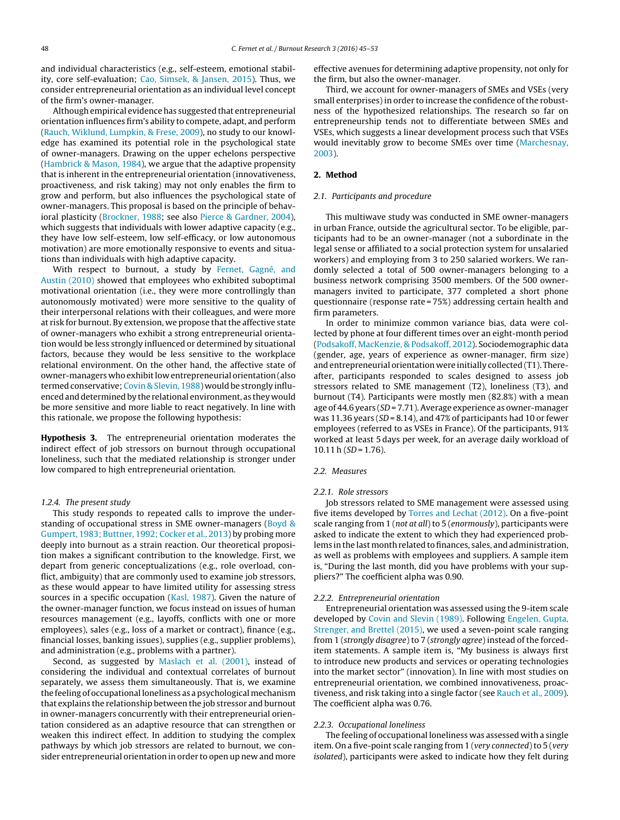and individual characteristics (e.g., self-esteem, emotional stability, core self-evaluation; [Cao, Simsek, & Jansen, 2015\).](#page-7-0) Thus, we consider entrepreneurial orientation as an individual level concept of the firm's owner-manager.

Although empirical evidence has suggested that entrepreneurial orientation influences firm's ability to compete, adapt, and perform ([Rauch, Wiklund, Lumpkin, & Frese, 2009\),](#page-8-0) no study to our knowledge has examined its potential role in the psychological state of owner-managers. Drawing on the upper echelons perspective ([Hambrick & Mason, 1984\),](#page-7-0) we argue that the adaptive propensity that is inherent in the entrepreneurial orientation (innovativeness, proactiveness, and risk taking) may not only enables the firm to grow and perform, but also influences the psychological state of owner-managers. This proposal is based on the principle of behavioral plasticity ([Brockner, 1988;](#page-7-0) see also [Pierce & Gardner, 2004\),](#page-7-0) which suggests that individuals with lower adaptive capacity (e.g., they have low self-esteem, low self-efficacy, or low autonomous motivation) are more emotionally responsive to events and situations than individuals with high adaptive capacity.

With respect to burnout, a study by [Fernet, Gagné, and](#page-7-0) [Austin \(2010\)](#page-7-0) showed that employees who exhibited suboptimal motivational orientation (i.e., they were more controllingly than autonomously motivated) were more sensitive to the quality of their interpersonal relations with their colleagues, and were more at risk for burnout. By extension, we propose that the affective state of owner-managers who exhibit a strong entrepreneurial orientation would be less strongly influenced or determined by situational factors, because they would be less sensitive to the workplace relational environment. On the other hand, the affective state of owner-managers who exhibit low entrepreneurial orientation (also termed conservative; [Covin & Slevin, 1988\) w](#page-7-0)ould be strongly influenced and determined by the relational environment, as they would be more sensitive and more liable to react negatively. In line with this rationale, we propose the following hypothesis:

**Hypothesis 3.** The entrepreneurial orientation moderates the indirect effect of job stressors on burnout through occupational loneliness, such that the mediated relationship is stronger under low compared to high entrepreneurial orientation.

#### 1.2.4. The present study

This study responds to repeated calls to improve the understanding of occupational stress in SME owner-managers ([Boyd &](#page-7-0) [Gumpert, 1983; Buttner, 1992; Cocker et al., 2013\) b](#page-7-0)y probing more deeply into burnout as a strain reaction. Our theoretical proposition makes a significant contribution to the knowledge. First, we depart from generic conceptualizations (e.g., role overload, conflict, ambiguity) that are commonly used to examine job stressors, as these would appear to have limited utility for assessing stress sources in a specific occupation [\(Kasl, 1987\).](#page-7-0) Given the nature of the owner-manager function, we focus instead on issues of human resources management (e.g., layoffs, conflicts with one or more employees), sales (e.g., loss of a market or contract), finance (e.g., financial losses, banking issues), supplies (e.g., supplier problems), and administration (e.g., problems with a partner).

Second, as suggested by [Maslach et al. \(2001\),](#page-7-0) instead of considering the individual and contextual correlates of burnout separately, we assess them simultaneously. That is, we examine the feeling of occupational loneliness as a psychological mechanism that explains the relationship between the job stressor and burnout in owner-managers concurrently with their entrepreneurial orientation considered as an adaptive resource that can strengthen or weaken this indirect effect. In addition to studying the complex pathways by which job stressors are related to burnout, we consider entrepreneurial orientation in order to open up new and more

effective avenues for determining adaptive propensity, not only for the firm, but also the owner-manager.

Third, we account for owner-managers of SMEs and VSEs (very small enterprises) in order to increase the confidence of the robustness of the hypothesized relationships. The research so far on entrepreneurship tends not to differentiate between SMEs and VSEs, which suggests a linear development process such that VSEs would inevitably grow to become SMEs over time ([Marchesnay,](#page-7-0) [2003\).](#page-7-0)

## **2. Method**

#### 2.1. Participants and procedure

This multiwave study was conducted in SME owner-managers in urban France, outside the agricultural sector. To be eligible, participants had to be an owner-manager (not a subordinate in the legal sense or affiliated to a social protection system for unsalaried workers) and employing from 3 to 250 salaried workers. We randomly selected a total of 500 owner-managers belonging to a business network comprising 3500 members. Of the 500 ownermanagers invited to participate, 377 completed a short phone questionnaire (response rate = 75%) addressing certain health and firm parameters.

In order to minimize common variance bias, data were collected by phone at four different times over an eight-month period [\(Podsakoff, MacKenzie, & Podsakoff, 2012\).](#page-8-0) Sociodemographic data (gender, age, years of experience as owner-manager, firm size) and entrepreneurial orientation were initially collected (T1). Thereafter, participants responded to scales designed to assess job stressors related to SME management (T2), loneliness (T3), and burnout (T4). Participants were mostly men (82.8%) with a mean age of 44.6 years (SD = 7.71). Average experience as owner-manager was 11.36 years ( $SD = 8.14$ ), and 47% of participants had 10 or fewer employees (referred to as VSEs in France). Of the participants, 91% worked at least 5 days per week, for an average daily workload of  $10.11 h$  (SD = 1.76).

#### 2.2. Measures

#### 2.2.1. Role stressors

Job stressors related to SME management were assessed using five items developed by [Torres and Lechat \(2012\). O](#page-8-0)n a five-point scale ranging from 1 (not at all) to 5 (enormously), participants were asked to indicate the extent to which they had experienced problems in the last month related to finances, sales, and administration, as well as problems with employees and suppliers. A sample item is, "During the last month, did you have problems with your suppliers?" The coefficient alpha was 0.90.

#### 2.2.2. Entrepreneurial orientation

Entrepreneurial orientation was assessed using the 9-item scale developed by [Covin and Slevin \(1989\). F](#page-7-0)ollowing [Engelen, Gupta,](#page-7-0) [Strenger, and Brettel \(2015\), w](#page-7-0)e used a seven-point scale ranging from 1 (strongly disagree) to 7 (strongly agree) instead of the forceditem statements. A sample item is, "My business is always first to introduce new products and services or operating technologies into the market sector" (innovation). In line with most studies on entrepreneurial orientation, we combined innovativeness, proactiveness, and risk taking into a single factor (see [Rauch et al., 2009\).](#page-8-0) The coefficient alpha was 0.76.

#### 2.2.3. Occupational loneliness

The feeling of occupational loneliness was assessed with a single item. On a five-point scale ranging from 1 (very connected) to 5 (very isolated), participants were asked to indicate how they felt during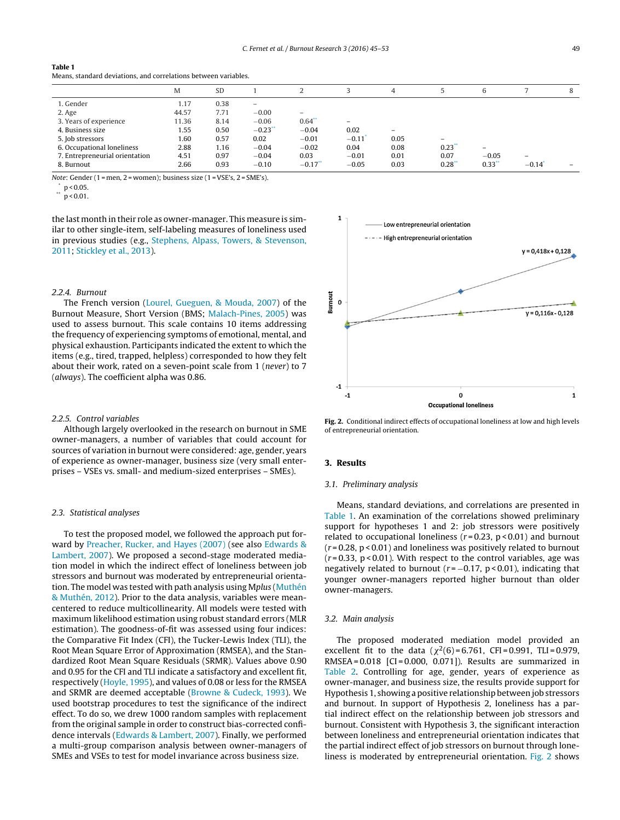#### **Table 1**

Means, standard deviations, and correlations between variables.

|                                | M     | <b>SD</b> |                          |            |                          | 4                 |                          | 6                        |                          | 8 |
|--------------------------------|-------|-----------|--------------------------|------------|--------------------------|-------------------|--------------------------|--------------------------|--------------------------|---|
| 1. Gender                      | 1.17  | 0.38      | $\overline{\phantom{0}}$ |            |                          |                   |                          |                          |                          |   |
| 2. Age                         | 44.57 | 7.71      | $-0.00$                  | $-$        |                          |                   |                          |                          |                          |   |
| 3. Years of experience         | 11.36 | 8.14      | $-0.06$                  | $0.64$ **  | $\overline{\phantom{0}}$ |                   |                          |                          |                          |   |
| 4. Business size               | 1.55  | 0.50      | $-0.23$ <sup>*</sup>     | $-0.04$    | 0.02                     | $\qquad \qquad =$ |                          |                          |                          |   |
| 5. Job stressors               | 1.60  | 0.57      | 0.02                     | $-0.01$    | $-0.11$                  | 0.05              | $\overline{\phantom{0}}$ |                          |                          |   |
| 6. Occupational loneliness     | 2.88  | 1.16      | $-0.04$                  | $-0.02$    | 0.04                     | 0.08              | 0.23                     | $\overline{\phantom{0}}$ |                          |   |
| 7. Entrepreneurial orientation | 4.51  | 0.97      | $-0.04$                  | 0.03       | $-0.01$                  | 0.01              | 0.07                     | $-0.05$                  | $\overline{\phantom{0}}$ |   |
| 8. Burnout                     | 2.66  | 0.93      | $-0.10$                  | $-0.17$ ** | $-0.05$                  | 0.03              | $0.28^*$                 | $0.33$ **                | $-0.14$                  |   |

Note: Gender (1 = men, 2 = women); business size (1 = VSE's, 2 = SME's).

 $p < 0.05$ .

 $p < 0.01$ .

the last month in their role as owner-manager. This measure is similar to other single-item, self-labeling measures of loneliness used in previous studies (e.g., [Stephens, Alpass, Towers, & Stevenson,](#page-8-0) [2011;](#page-8-0) [Stickley et al., 2013\).](#page-8-0)

## 2.2.4. Burnout

The French version ([Lourel, Gueguen, & Mouda, 2007\)](#page-7-0) of the Burnout Measure, Short Version (BMS; [Malach-Pines, 2005\)](#page-7-0) was used to assess burnout. This scale contains 10 items addressing the frequency of experiencing symptoms of emotional, mental, and physical exhaustion. Participants indicated the extent to which the items (e.g., tired, trapped, helpless) corresponded to how they felt about their work, rated on a seven-point scale from 1 (never) to 7 (always). The coefficient alpha was 0.86.

#### 2.2.5. Control variables

Although largely overlooked in the research on burnout in SME owner-managers, a number of variables that could account for sources of variation in burnout were considered: age, gender, years of experience as owner-manager, business size (very small enterprises – VSEs vs. small- and medium-sized enterprises – SMEs).

#### 2.3. Statistical analyses

To test the proposed model, we followed the approach put forward by [Preacher, Rucker, and Hayes \(2007\)](#page-8-0) (see also [Edwards &](#page-7-0) [Lambert, 2007\).](#page-7-0) We proposed a second-stage moderated mediation model in which the indirect effect of loneliness between job stressors and burnout was moderated by entrepreneurial orientation. The model was tested with path analysis using Mplus [\(Muthén](#page-7-0) [& Muthén, 2012\).](#page-7-0) Prior to the data analysis, variables were meancentered to reduce multicollinearity. All models were tested with maximum likelihood estimation using robust standard errors (MLR estimation). The goodness-of-fit was assessed using four indices: the Comparative Fit Index (CFI), the Tucker-Lewis Index (TLI), the Root Mean Square Error of Approximation (RMSEA), and the Standardized Root Mean Square Residuals (SRMR). Values above 0.90 and 0.95 for the CFI and TLI indicate a satisfactory and excellent fit, respectively ([Hoyle, 1995\),](#page-7-0) and values of 0.08 or less for the RMSEA and SRMR are deemed acceptable [\(Browne & Cudeck, 1993\).](#page-7-0) We used bootstrap procedures to test the significance of the indirect effect. To do so, we drew 1000 random samples with replacement from the original sample in order to construct bias-corrected confidence intervals ([Edwards & Lambert, 2007\).](#page-7-0) Finally, we performed a multi-group comparison analysis between owner-managers of SMEs and VSEs to test for model invariance across business size.



**Fig. 2.** Conditional indirect effects of occupational loneliness at low and high levels of entrepreneurial orientation.

#### **3. Results**

#### 3.1. Preliminary analysis

Means, standard deviations, and correlations are presented in Table 1. An examination of the correlations showed preliminary support for hypotheses 1 and 2: job stressors were positively related to occupational loneliness ( $r = 0.23$ ,  $p < 0.01$ ) and burnout  $(r = 0.28, p < 0.01)$  and loneliness was positively related to burnout  $(r=0.33, p<0.01)$ . With respect to the control variables, age was negatively related to burnout ( $r = -0.17$ ,  $p < 0.01$ ), indicating that younger owner-managers reported higher burnout than older owner-managers.

#### 3.2. Main analysis

The proposed moderated mediation model provided an excellent fit to the data ( $\chi^2(6)$  = 6.761, CFI = 0.991, TLI = 0.979, RMSEA = 0.018 [CI = 0.000, 0.071]). Results are summarized in [Table 2.](#page-5-0) Controlling for age, gender, years of experience as owner-manager, and business size, the results provide support for Hypothesis 1, showing a positive relationship between job stressors and burnout. In support of Hypothesis 2, loneliness has a partial indirect effect on the relationship between job stressors and burnout. Consistent with Hypothesis 3, the significant interaction between loneliness and entrepreneurial orientation indicates that the partial indirect effect of job stressors on burnout through loneliness is moderated by entrepreneurial orientation. Fig. 2 shows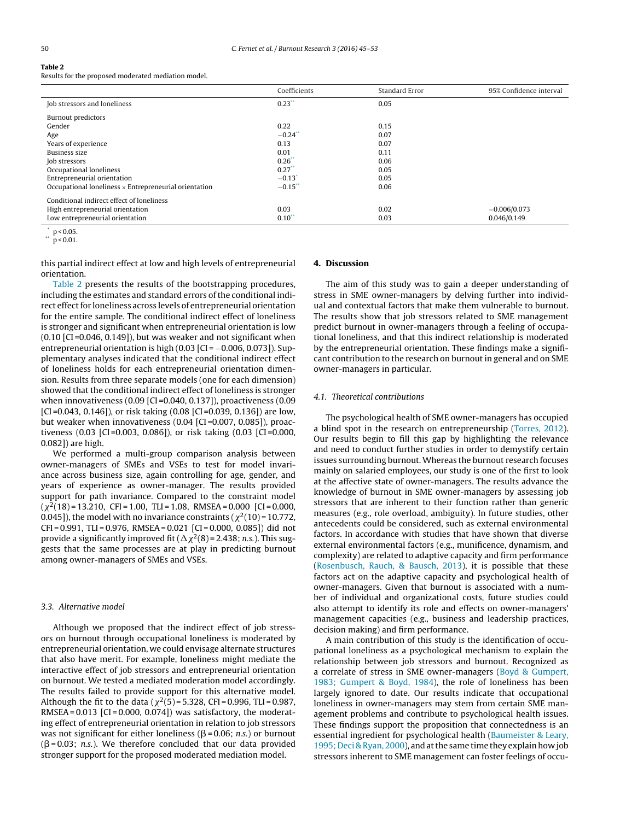<span id="page-5-0"></span>

Results for the proposed moderated mediation model.

|                                                              | Coefficients         | Standard Error | 95% Confidence interval |
|--------------------------------------------------------------|----------------------|----------------|-------------------------|
| Job stressors and loneliness                                 | $0.23$ **            | 0.05           |                         |
| <b>Burnout predictors</b>                                    |                      |                |                         |
| Gender                                                       | 0.22                 | 0.15           |                         |
| Age                                                          | $-0.24$ <sup>*</sup> | 0.07           |                         |
| Years of experience                                          | 0.13                 | 0.07           |                         |
| Business size                                                | 0.01                 | 0.11           |                         |
| Job stressors                                                | 0.26                 | 0.06           |                         |
| Occupational loneliness                                      | 0.27                 | 0.05           |                         |
| Entrepreneurial orientation                                  | $-0.13$ <sup>*</sup> | 0.05           |                         |
| Occupational loneliness $\times$ Entrepreneurial orientation | $-0.15$              | 0.06           |                         |
| Conditional indirect effect of loneliness                    |                      |                |                         |
| High entrepreneurial orientation                             | 0.03                 | 0.02           | $-0.006/0.073$          |
| Low entrepreneurial orientation                              | $0.10^{**}$          | 0.03           | 0.046/0.149             |

 $p < 0.05$ .

 $p < 0.01$ .

this partial indirect effect at low and high levels of entrepreneurial orientation.

Table 2 presents the results of the bootstrapping procedures, including the estimates and standard errors of the conditional indirect effect for loneliness across levels of entrepreneurial orientation for the entire sample. The conditional indirect effect of loneliness is stronger and significant when entrepreneurial orientation is low  $(0.10$   $[CI = 0.046, 0.149]$ , but was weaker and not significant when entrepreneurial orientation is high  $(0.03$   $|CI = -0.006, 0.073]$ ). Supplementary analyses indicated that the conditional indirect effect of loneliness holds for each entrepreneurial orientation dimension. Results from three separate models (one for each dimension) showed that the conditional indirect effect of loneliness is stronger when innovativeness (0.09 [CI =0.040, 0.137]), proactiveness (0.09 [CI=0.043, 0.146]), or risk taking (0.08 [CI=0.039, 0.136]) are low, but weaker when innovativeness (0.04 [CI =0.007, 0.085]), proactiveness (0.03 [CI =0.003, 0.086]), or risk taking (0.03 [CI =0.000, 0.082]) are high.

We performed a multi-group comparison analysis between owner-managers of SMEs and VSEs to test for model invariance across business size, again controlling for age, gender, and years of experience as owner-manager. The results provided support for path invariance. Compared to the constraint model  $(\chi^2(18)$  = 13.210, CFI = 1.00, TLI = 1.08, RMSEA = 0.000 [CI = 0.000, 0.045]), the model with no invariance constraints (  $\chi^2(10)$  = 10.772, CFI = 0.991, TLI = 0.976, RMSEA = 0.021 [CI = 0.000, 0.085]) did not provide a significantly improved fit (  $\Delta\chi^2(8)$  = 2.438; *n.s*.). This suggests that the same processes are at play in predicting burnout among owner-managers of SMEs and VSEs.

#### 3.3. Alternative model

Although we proposed that the indirect effect of job stressors on burnout through occupational loneliness is moderated by entrepreneurial orientation, we could envisage alternate structures that also have merit. For example, loneliness might mediate the interactive effect of job stressors and entrepreneurial orientation on burnout. We tested a mediated moderation model accordingly. The results failed to provide support for this alternative model. Although the fit to the data ( $\chi^2(5)$ =5.328, CFI=0.996, TLI=0.987, RMSEA =  $0.013$  [CI =  $0.000$ ,  $0.074$ ]) was satisfactory, the moderating effect of entrepreneurial orientation in relation to job stressors was not significant for either loneliness ( $\beta$ =0.06; *n.s*.) or burnout ( $\beta$ =0.03; n.s.). We therefore concluded that our data provided stronger support for the proposed moderated mediation model.

## **4. Discussion**

The aim of this study was to gain a deeper understanding of stress in SME owner-managers by delving further into individual and contextual factors that make them vulnerable to burnout. The results show that job stressors related to SME management predict burnout in owner-managers through a feeling of occupational loneliness, and that this indirect relationship is moderated by the entrepreneurial orientation. These findings make a significant contribution to the research on burnout in general and on SME owner-managers in particular.

#### 4.1. Theoretical contributions

The psychological health of SME owner-managers has occupied a blind spot in the research on entrepreneurship [\(Torres, 2012\).](#page-8-0) Our results begin to fill this gap by highlighting the relevance and need to conduct further studies in order to demystify certain issues surrounding burnout. Whereas the burnout research focuses mainly on salaried employees, our study is one of the first to look at the affective state of owner-managers. The results advance the knowledge of burnout in SME owner-managers by assessing job stressors that are inherent to their function rather than generic measures (e.g., role overload, ambiguity). In future studies, other antecedents could be considered, such as external environmental factors. In accordance with studies that have shown that diverse external environmental factors (e.g., munificence, dynamism, and complexity) are related to adaptive capacity and firm performance [\(Rosenbusch, Rauch, & Bausch, 2013\),](#page-8-0) it is possible that these factors act on the adaptive capacity and psychological health of owner-managers. Given that burnout is associated with a number of individual and organizational costs, future studies could also attempt to identify its role and effects on owner-managers' management capacities (e.g., business and leadership practices, decision making) and firm performance.

A main contribution of this study is the identification of occupational loneliness as a psychological mechanism to explain the relationship between job stressors and burnout. Recognized as a correlate of stress in SME owner-managers [\(Boyd & Gumpert,](#page-7-0) [1983; Gumpert & Boyd, 1984\),](#page-7-0) the role of loneliness has been largely ignored to date. Our results indicate that occupational loneliness in owner-managers may stem from certain SME management problems and contribute to psychological health issues. These findings support the proposition that connectedness is an essential ingredient for psychological health [\(Baumeister & Leary,](#page-7-0) [1995; Deci & Ryan, 2000\),](#page-7-0) and at the same time they explain how job stressors inherent to SME management can foster feelings of occu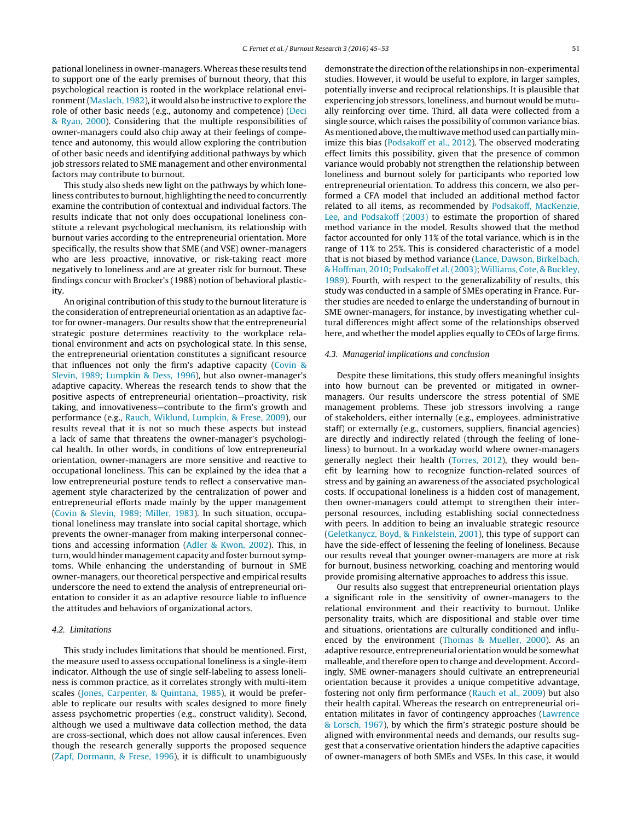pational loneliness in owner-managers.Whereas these results tend to support one of the early premises of burnout theory, that this psychological reaction is rooted in the workplace relational environment [\(Maslach, 1982\),](#page-7-0) it would also be instructive to explore the role of other basic needs (e.g., autonomy and competence) ([Deci](#page-7-0) [& Ryan, 2000\).](#page-7-0) Considering that the multiple responsibilities of owner-managers could also chip away at their feelings of competence and autonomy, this would allow exploring the contribution of other basic needs and identifying additional pathways by which job stressors related to SME management and other environmental factors may contribute to burnout.

This study also sheds new light on the pathways by which loneliness contributes to burnout, highlighting the need to concurrently examine the contribution of contextual and individual factors. The results indicate that not only does occupational loneliness constitute a relevant psychological mechanism, its relationship with burnout varies according to the entrepreneurial orientation. More specifically, the results show that SME (and VSE) owner-managers who are less proactive, innovative, or risk-taking react more negatively to loneliness and are at greater risk for burnout. These findings concur with Brocker's (1988) notion of behavioral plasticity.

An original contribution of this study to the burnout literature is the consideration of entrepreneurial orientation as an adaptive factor for owner-managers. Our results show that the entrepreneurial strategic posture determines reactivity to the workplace relational environment and acts on psychological state. In this sense, the entrepreneurial orientation constitutes a significant resource that influences not only the firm's adaptive capacity ([Covin &](#page-7-0) [Slevin, 1989; Lumpkin & Dess, 1996\),](#page-7-0) but also owner-manager's adaptive capacity. Whereas the research tends to show that the positive aspects of entrepreneurial orientation—proactivity, risk taking, and innovativeness—contribute to the firm's growth and performance (e.g., [Rauch, Wiklund, Lumpkin, & Frese, 2009\),](#page-8-0) our results reveal that it is not so much these aspects but instead a lack of same that threatens the owner-manager's psychological health. In other words, in conditions of low entrepreneurial orientation, owner-managers are more sensitive and reactive to occupational loneliness. This can be explained by the idea that a low entrepreneurial posture tends to reflect a conservative management style characterized by the centralization of power and entrepreneurial efforts made mainly by the upper management ([Covin & Slevin, 1989; Miller, 1983\).](#page-7-0) In such situation, occupational loneliness may translate into social capital shortage, which prevents the owner-manager from making interpersonal connections and accessing information ([Adler & Kwon, 2002\).](#page-7-0) This, in turn, would hinder management capacity and foster burnout symptoms. While enhancing the understanding of burnout in SME owner-managers, our theoretical perspective and empirical results underscore the need to extend the analysis of entrepreneurial orientation to consider it as an adaptive resource liable to influence the attitudes and behaviors of organizational actors.

## 4.2. Limitations

This study includes limitations that should be mentioned. First, the measure used to assess occupational loneliness is a single-item indicator. Although the use of single self-labeling to assess loneliness is common practice, as it correlates strongly with multi-item scales ([Jones, Carpenter, & Quintana, 1985\),](#page-7-0) it would be preferable to replicate our results with scales designed to more finely assess psychometric properties (e.g., construct validity). Second, although we used a multiwave data collection method, the data are cross-sectional, which does not allow causal inferences. Even though the research generally supports the proposed sequence ([Zapf, Dormann, & Frese, 1996\),](#page-8-0) it is difficult to unambiguously demonstrate the direction of the relationships in non-experimental studies. However, it would be useful to explore, in larger samples, potentially inverse and reciprocal relationships. It is plausible that experiencing job stressors, loneliness, and burnout would be mutually reinforcing over time. Third, all data were collected from a single source, which raises the possibility of common variance bias. As mentioned above, the multiwave method used can partially minimize this bias [\(Podsakoff et al., 2012\).](#page-8-0) The observed moderating effect limits this possibility, given that the presence of common variance would probably not strengthen the relationship between loneliness and burnout solely for participants who reported low entrepreneurial orientation. To address this concern, we also performed a CFA model that included an additional method factor related to all items, as recommended by [Podsakoff, MacKenzie,](#page-7-0) [Lee, and Podsakoff \(2003\)](#page-7-0) to estimate the proportion of shared method variance in the model. Results showed that the method factor accounted for only 11% of the total variance, which is in the range of 11% to 25%. This is considered characteristic of a model that is not biased by method variance ([Lance, Dawson, Birkelbach,](#page-7-0) [& Hoffman, 2010;](#page-7-0) [Podsakoff et al. \(2003\);](#page-7-0)[Williams, Cote, & Buckley,](#page-8-0) [1989\).](#page-8-0) Fourth, with respect to the generalizability of results, this study was conducted in a sample of SMEs operating in France. Further studies are needed to enlarge the understanding of burnout in SME owner-managers, for instance, by investigating whether cultural differences might affect some of the relationships observed here, and whether the model applies equally to CEOs of large firms.

#### 4.3. Managerial implications and conclusion

Despite these limitations, this study offers meaningful insights into how burnout can be prevented or mitigated in ownermanagers. Our results underscore the stress potential of SME management problems. These job stressors involving a range of stakeholders, either internally (e.g., employees, administrative staff) or externally (e.g., customers, suppliers, financial agencies) are directly and indirectly related (through the feeling of loneliness) to burnout. In a workaday world where owner-managers generally neglect their health ([Torres, 2012\),](#page-8-0) they would benefit by learning how to recognize function-related sources of stress and by gaining an awareness of the associated psychological costs. If occupational loneliness is a hidden cost of management, then owner-managers could attempt to strengthen their interpersonal resources, including establishing social connectedness with peers. In addition to being an invaluable strategic resource [\(Geletkanycz, Boyd, & Finkelstein, 2001\),](#page-7-0) this type of support can have the side-effect of lessening the feeling of loneliness. Because our results reveal that younger owner-managers are more at risk for burnout, business networking, coaching and mentoring would provide promising alternative approaches to address this issue.

Our results also suggest that entrepreneurial orientation plays a significant role in the sensitivity of owner-managers to the relational environment and their reactivity to burnout. Unlike personality traits, which are dispositional and stable over time and situations, orientations are culturally conditioned and influenced by the environment [\(Thomas & Mueller, 2000\).](#page-8-0) As an adaptive resource, entrepreneurial orientation would be somewhat malleable, and therefore open to change and development. Accordingly, SME owner-managers should cultivate an entrepreneurial orientation because it provides a unique competitive advantage, fostering not only firm performance [\(Rauch et al., 2009\)](#page-8-0) but also their health capital. Whereas the research on entrepreneurial orientation militates in favor of contingency approaches [\(Lawrence](#page-7-0) [& Lorsch, 1967\),](#page-7-0) by which the firm's strategic posture should be aligned with environmental needs and demands, our results suggest that a conservative orientation hinders the adaptive capacities of owner-managers of both SMEs and VSEs. In this case, it would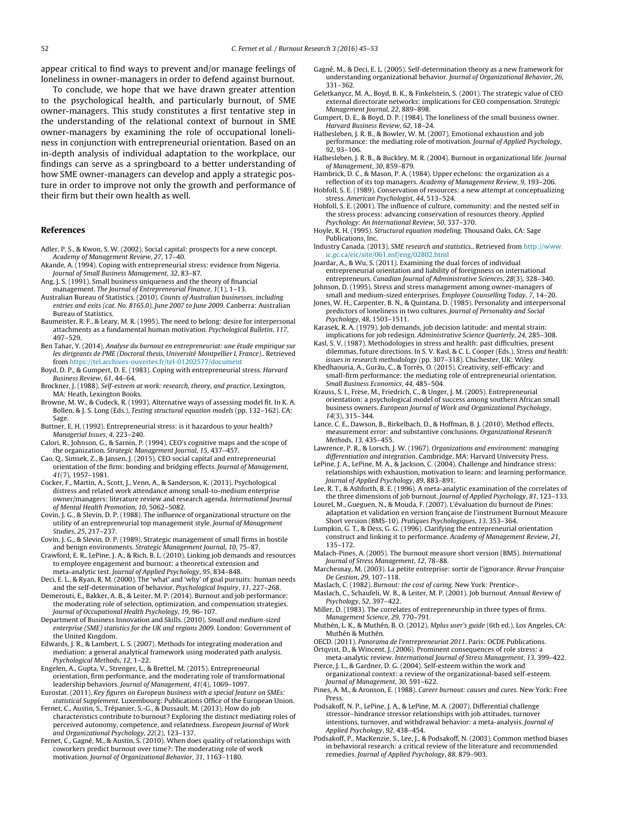<span id="page-7-0"></span>appear critical to find ways to prevent and/or manage feelings of loneliness in owner-managers in order to defend against burnout.

To conclude, we hope that we have drawn greater attention to the psychological health, and particularly burnout, of SME owner-managers. This study constitutes a first tentative step in the understanding of the relational context of burnout in SME owner-managers by examining the role of occupational loneliness in conjunction with entrepreneurial orientation. Based on an in-depth analysis of individual adaptation to the workplace, our findings can serve as a springboard to a better understanding of how SME owner-managers can develop and apply a strategic posture in order to improve not only the growth and performance of their firm but their own health as well.

## **References**

- Adler, P. S., & Kwon, S. W. (2002). Social capital: prospects for a new concept. Academy of Management Review, 27, 17–40.
- Akande, A. (1994). Coping with entrepreneurial stress: evidence from Nigeria. Journal of Small Business Management, 32, 83–87.
- Ang, J. S. (1991). Small business uniqueness and the theory of financial management. The Journal of Entrepreneurial Finance, 1(1), 1-13.
- Australian Bureau of Statistics. (2010). Counts of Australian businesses, including entries and exits (cat. No. 8165.0), June 2007 to June 2009. Canberra: Australian Bureau of Statistics.
- Baumeister, R. F., & Leary, M. R. (1995). The need to belong: desire for interpersonal attachments as a fundamental human motivation. Psychological Bulletin, 117, 497–529.
- Ben Tahar, Y. (2014). Analyse du burnout en entrepreneuriat: une étude empirique sur les dirigeants de PME (Doctoral thesis, Université Montpellier I, France).. Retrieved from [https://tel.archives-ouvertes.fr/tel-01202577/document](http://https://tel.archives-ouvertes.fr/tel-01202577/document)
- Boyd, D. P., & Gumpert, D. E. (1983). Coping with entrepreneurial stress. Harvard Business Review, 61, 44–64.
- Brockner, J. (1988). Self-esteem at work: research, theory, and practice. Lexington, MA: Heath, Lexington Books.
- Browne, M. W., & Cudeck, R. (1993). Alternative ways of assessing model fit. In K. A. Bollen, & J. S. Long (Eds.), Testing structural equation models (pp. 132–162). CA: Sage.
- Buttner, E. H. (1992). Entrepreneurial stress: is it hazardous to your health? Managerial Issues, 4, 223–240.
- Calori, R., Johnson, G., & Sarnin, P. (1994). CEO's cognitive maps and the scope of the organization. Strategic Management Journal, 15, 437–457.
- Cao, Q., Simsek, Z., & Jansen, J. (2015). CEO social capital and entrepreneurial orientation of the firm: bonding and bridging effects. Journal of Management, 41(7), 1957–1981.
- Cocker, F., Martin, A., Scott, J., Venn, A., & Sanderson, K. (2013). Psychological distress and related work attendance among small-to-medium enterprise owner/managers: literature review and research agenda. International Journal of Mental Health Promotion, 10, 5062–5082.
- Covin, J. G., & Slevin, D. P. (1988). The influence of organizational structure on the utility of an entrepreneurial top management style. Journal of Management Studies, 25, 217–237.
- Covin, J. G., & Slevin, D. P. (1989). Strategic management of small firms in hostile and benign environments. Strategic Management Journal, 10, 75–87.
- Crawford, E. R., LePine, J. A., & Rich, B. L. (2010). Linking job demands and resources to employee engagement and burnout: a theoretical extension and meta-analytic test. Journal of Applied Psychology, 95, 834–848.
- Deci, E. L., & Ryan, R. M. (2000). The 'what' and 'why' of goal pursuits: human needs and the self-determination of behavior. Psychological Inquiry, 11, 227–268.
- Demerouti, E., Bakker, A. B., & Leiter, M. P. (2014). Burnout and job performance: the moderating role of selection, optimization, and compensation strategies. Journal of Occupational Health Psychology, 19, 96–107.
- Department of Business Innovation and Skills. (2010). Small and medium-sized enterprise (SME) statistics for the UK and regions 2009. London: Government of the United Kingdom.
- Edwards, J. R., & Lambert, L. S. (2007). Methods for integrating moderation and mediation: a general analytical framework using moderated path analysis. Psychological Methods, 12, 1–22.
- Engelen, A., Gupta, V., Strenger, L., & Brettel, M. (2015). Entrepreneurial orientation, firm performance, and the moderating role of transformational leadership behaviors. Journal of Management, 41(4), 1069–1097.
- Eurostat. (2011). Key figures on European business with a special feature on SMEs: statistical Supplement. Luxembourg: Publications Office of the European Union.
- Fernet, C., Austin, S., Trépanier, S.-G., & Dussault, M. (2013). How do job characteristics contribute to burnout? Exploring the distinct mediating roles of perceived autonomy, competence, and relatedness. European Journal of Work and Organizational Psychology, 22(2), 123–137.
- Fernet, C., Gagné, M., & Austin, S. (2010). When does quality of relationships with coworkers predict burnout over time?: The moderating role of work motivation. Journal of Organizational Behavior, 31, 1163–1180.
- Gagné, M., & Deci, E. L. (2005). Self-determination theory as a new framework for understanding organizational behavior. Journal of Organizational Behavior, 26, 331–362.
- Geletkanycz, M. A., Boyd, B. K., & Finkelstein, S. (2001). The strategic value of CEO external directorate networks: implications for CEO compensation. Strategic Management Journal, 22, 889–898.
- Gumpert, D. E., & Boyd, D. P. (1984). The loneliness of the small business owner. Harvard Business Review, 62, 18–24.
- Halbesleben, J. R. B., & Bowler, W. M. (2007). Emotional exhaustion and job performance: the mediating role of motivation. Journal of Applied Psychology, 92, 93–106.
- Halbesleben, J. R. B., & Buckley, M. R. (2004). Burnout in organizational life. Journal of Management, 30, 859–879.
- Hambrick, D. C., & Mason, P. A. (1984). Upper echelons: the organization as a reflection of its top managers. Academy of Management Review, 9, 193–206.
- Hobfoll, S. E. (1989). Conservation of resources: a new attempt at conceptualizing stress. American Psychologist, 44, 513–524.
- Hobfoll, S. E. (2001). The influence of culture, community: and the nested self in the stress process: advancing conservation of resources theory. Applied Psychology: An International Review, 50, 337–370.
- Hoyle, R. H. (1995). Structural equation modeling. Thousand Oaks, CA: Sage Publications, Inc.
- Industry Canada. (2013). SME research and statistics.. Retrieved from [http://www.](http://www.ic.gc.ca/eic/site/061.nsf/eng/02802.html) [ic.gc.ca/eic/site/061.nsf/eng/02802.html](http://www.ic.gc.ca/eic/site/061.nsf/eng/02802.html)
- Joardar, A., & Wu, S. (2011). Examining the dual forces of individual entrepreneurial orientation and liability of foreignness on international entrepreneurs. Canadian Journal of Administrative Sciences, 28(3), 328–340.
- Johnson, D. (1995). Stress and stress management among owner-managers of small and medium-sized enterprises. Employee Counselling Today, 7, 14–20. Jones, W. H., Carpenter, B. N., & Quintana, D. (1985). Personality and interpersonal
- predictors of loneliness in two cultures. Journal of Personality and Social Psychology, 48, 1503–1511.
- Karasek, R. A. (1979). Job demands, job decision latitude: and mental strain: implications for job redesign. Administrative Science Quarterly, 24, 285–308.
- Kasl, S. V. (1987). Methodologies in stress and health: past difficulties, present dilemmas, future directions. In S. V. Kasl, & C. L. Cooper (Eds.), Stress and health: issues in research methodology (pp. 307–318). Chichester, UK: Wiley.
- Khedhaouria, A., Gurău, C., & Torrès, O. (2015). Creativity, self-efficacy: and small-firm performance: the mediating role of entrepreneurial orientation. Small Business Economics, 44, 485–504.
- Krauss, S. I., Frese, M., Friedrich, C., & Unger, J. M. (2005). Entrepreneurial orientation: a psychological model of success among southern African small business owners. European Journal of Work and Organizational Psychology, 14(3), 315–344.
- Lance, C. E., Dawson, B., Birkelbach, D., & Hoffman, B. J. (2010). Method effects, measurement error: and substantive conclusions. Organizational Research Methods, 13, 435–455.
- Lawrence, P. R., & Lorsch, J. W. (1967). Organizations and environment: managing differentiation and integration. Cambridge, MA: Harvard University Press.
- LePine, J. A., LePine, M. A., & Jackson, C. (2004). Challenge and hindrance stress: relationships with exhaustion, motivation to learn: and learning performance. Journal of Applied Psychology, 89, 883–891.
- Lee, R. T., & Ashforth, B. E. (1996). A meta-analytic examination of the correlates of the three dimensions of job burnout. Journal of Applied Psychology, 81, 123–133.
- Lourel, M., Gueguen, N., & Mouda, F. (2007). L'évaluation du burnout de Pines: adaptation et validation en version française de l'instrument Burnout Measure Short version (BMS-10). Pratiques Psychologiques, 13, 353–364.
- Lumpkin, G. T., & Dess, G. G. (1996). Clarifying the entrepreneurial orientation construct and linking it to performance. Academy of Management Review, 21, 135–172.
- Malach-Pines, A. (2005). The burnout measure short version (BMS). International Journal of Stress Management, 12, 78–88.
- Marchesnay, M. (2003). La petite entreprise: sortir de l'ignorance. Revue Française De Gestion, 29, 107–118.
- Maslach, C. (1982). Burnout: the cost of caring. New York: Prentice-.
- Maslach, C., Schaufeli, W. B., & Leiter, M. P. (2001). Job burnout. Annual Review of Psychology, 52, 397–422.
- Miller, D. (1983). The correlates of entrepreneurship in three types of firms. Management Science, 29, 770–791.
- Muthén, L. K., & Muthén, B. O. (2012). Mplus user's guide (6th ed.). Los Angeles, CA: Muthén & Muthén.
- OECD. (2011). Panorama de l'entrepreneuriat 2011. Paris: OCDE Publications. Örtqvist, D., & Wincent, J. (2006). Prominent consequences of role stress: a
- meta-analytic review. International Journal of Stress Management, 13, 399–422. Pierce, J. L., & Gardner, D. G. (2004). Self-esteem within the work and
- organizational context: a review of the organizational-based self-esteem. Journal of Management, 30, 591–622.
- Pines, A. M., & Aronson, E. (1988). Career burnout: causes and cures. New York: Free Press.
- Podsakoff, N. P., LePine, J. A., & LePine, M. A. (2007). Differential challenge stressor–hindrance stressor relationships with job attitudes, turnover intentions, turnover, and withdrawal behavior: a meta-analysis. Journal of Applied Psychology, 92, 438–454.
- Podsakoff, P., MacKenzie, S., Lee, J., & Podsakoff, N. (2003). Common method biases in behavioral research: a critical review of the literature and recommended remedies. Journal of Applied Psychology, 88, 879–903.